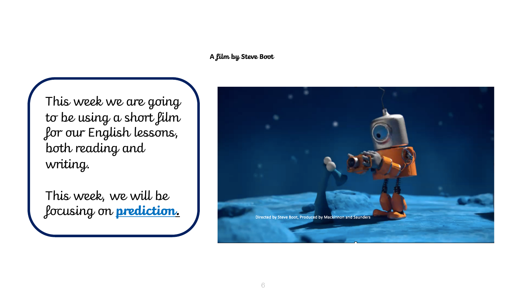**A film by Steve Boot**

This week we are going to be using a short film for our English lessons, both reading and writing.

This week, we will be focusing on **prediction.** 

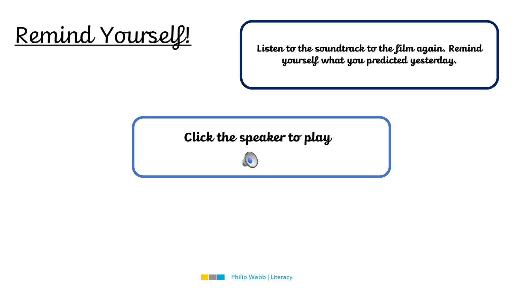

**Listen to the soundtrack to the film again. Remind yourself what you predicted yesterday.**

**Click the speaker to play**

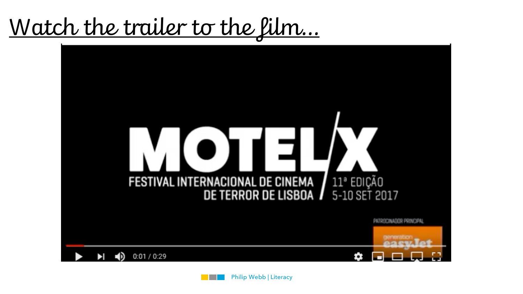Watch the trailer to the film…

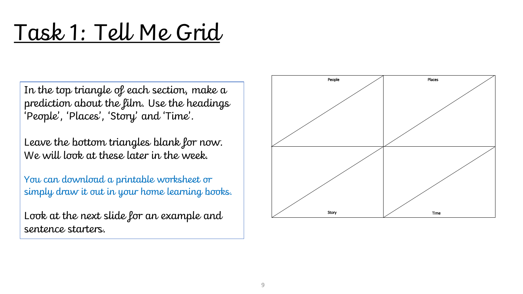## Task 1: Tell Me Grid

In the top triangle of each section, make a prediction about the film. Use the headings 'People', 'Places', 'Story' and 'Time'.

Leave the bottom triangles blank for now. We will look at these later in the week.

You can download a printable worksheet or simply draw it out in your home learning books.

Look at the next slide for an example and sentence starters.

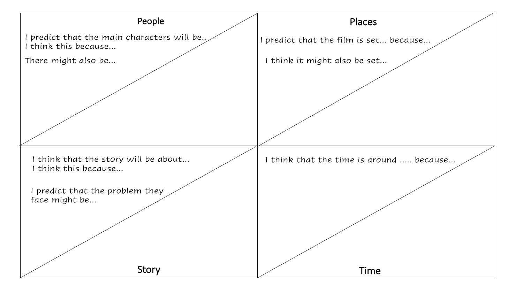